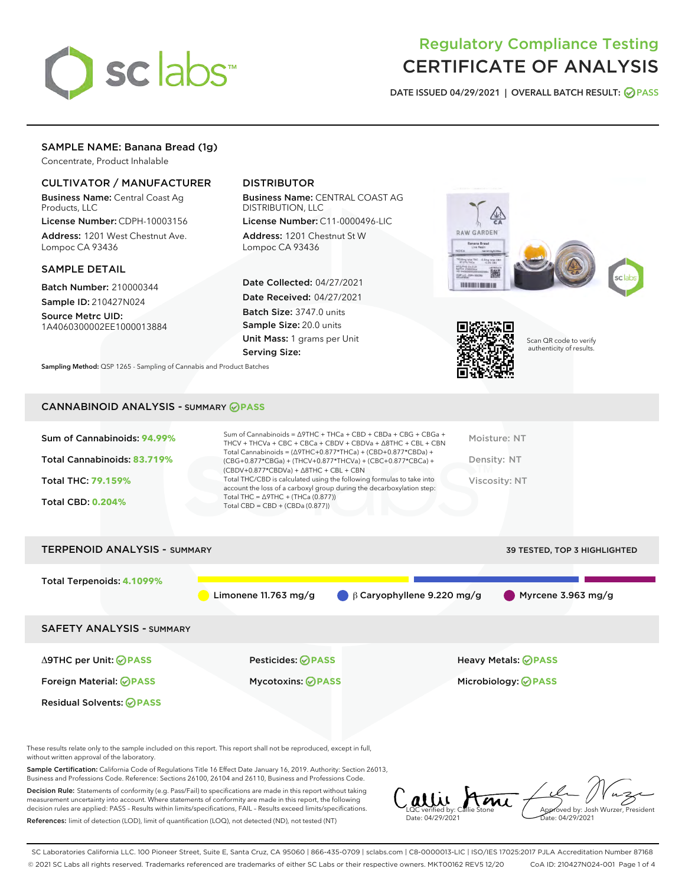

## Regulatory Compliance Testing CERTIFICATE OF ANALYSIS

DATE ISSUED 04/29/2021 | OVERALL BATCH RESULT: @ PASS

## SAMPLE NAME: Banana Bread (1g)

Concentrate, Product Inhalable

## CULTIVATOR / MANUFACTURER

Business Name: Central Coast Ag Products, LLC

License Number: CDPH-10003156 Address: 1201 West Chestnut Ave. Lompoc CA 93436

#### SAMPLE DETAIL

Batch Number: 210000344 Sample ID: 210427N024

Source Metrc UID:

1A4060300002EE1000013884

## DISTRIBUTOR

Business Name: CENTRAL COAST AG DISTRIBUTION, LLC

License Number: C11-0000496-LIC Address: 1201 Chestnut St W Lompoc CA 93436

Date Collected: 04/27/2021 Date Received: 04/27/2021 Batch Size: 3747.0 units Sample Size: 20.0 units Unit Mass: 1 grams per Unit Serving Size:







Scan QR code to verify authenticity of results.

CANNABINOID ANALYSIS - SUMMARY **PASS**

Sampling Method: QSP 1265 - Sampling of Cannabis and Product Batches

| Sum of Cannabinoids: 94.99% | Sum of Cannabinoids = $\triangle$ 9THC + THCa + CBD + CBDa + CBG + CBGa +<br>THCV + THCVa + CBC + CBCa + CBDV + CBDVa + $\Delta$ 8THC + CBL + CBN                                    | Moisture: NT  |
|-----------------------------|--------------------------------------------------------------------------------------------------------------------------------------------------------------------------------------|---------------|
| Total Cannabinoids: 83.719% | Total Cannabinoids = $(\Delta$ 9THC+0.877*THCa) + (CBD+0.877*CBDa) +<br>(CBG+0.877*CBGa) + (THCV+0.877*THCVa) + (CBC+0.877*CBCa) +<br>$(CBDV+0.877*CBDVa) + \Delta 8THC + CBL + CBN$ | Density: NT   |
| <b>Total THC: 79.159%</b>   | Total THC/CBD is calculated using the following formulas to take into<br>account the loss of a carboxyl group during the decarboxylation step:                                       | Viscosity: NT |
| <b>Total CBD: 0.204%</b>    | Total THC = $\triangle$ 9THC + (THCa (0.877))<br>Total CBD = CBD + (CBDa $(0.877)$ )                                                                                                 |               |
|                             |                                                                                                                                                                                      |               |

# TERPENOID ANALYSIS - SUMMARY 39 TESTED, TOP 3 HIGHLIGHTED Total Terpenoids: **4.1099%** Limonene 11.763 mg/g β Caryophyllene 9.220 mg/g Myrcene 3.963 mg/g SAFETY ANALYSIS - SUMMARY Δ9THC per Unit: **PASS** Pesticides: **PASS** Heavy Metals: **PASS** Foreign Material: **PASS** Mycotoxins: **PASS** Microbiology: **PASS** Residual Solvents: **OPASS**

These results relate only to the sample included on this report. This report shall not be reproduced, except in full, without written approval of the laboratory.

Sample Certification: California Code of Regulations Title 16 Effect Date January 16, 2019. Authority: Section 26013, Business and Professions Code. Reference: Sections 26100, 26104 and 26110, Business and Professions Code.

Decision Rule: Statements of conformity (e.g. Pass/Fail) to specifications are made in this report without taking measurement uncertainty into account. Where statements of conformity are made in this report, the following decision rules are applied: PASS – Results within limits/specifications, FAIL – Results exceed limits/specifications. References: limit of detection (LOD), limit of quantification (LOQ), not detected (ND), not tested (NT)

alli Ami Approved by: Josh Wurzer, President LQC verified by: Callie Stone Date: 04/29/2021 Date: 04/29/2021

SC Laboratories California LLC. 100 Pioneer Street, Suite E, Santa Cruz, CA 95060 | 866-435-0709 | sclabs.com | C8-0000013-LIC | ISO/IES 17025:2017 PJLA Accreditation Number 87168 © 2021 SC Labs all rights reserved. Trademarks referenced are trademarks of either SC Labs or their respective owners. MKT00162 REV5 12/20 CoA ID: 210427N024-001 Page 1 of 4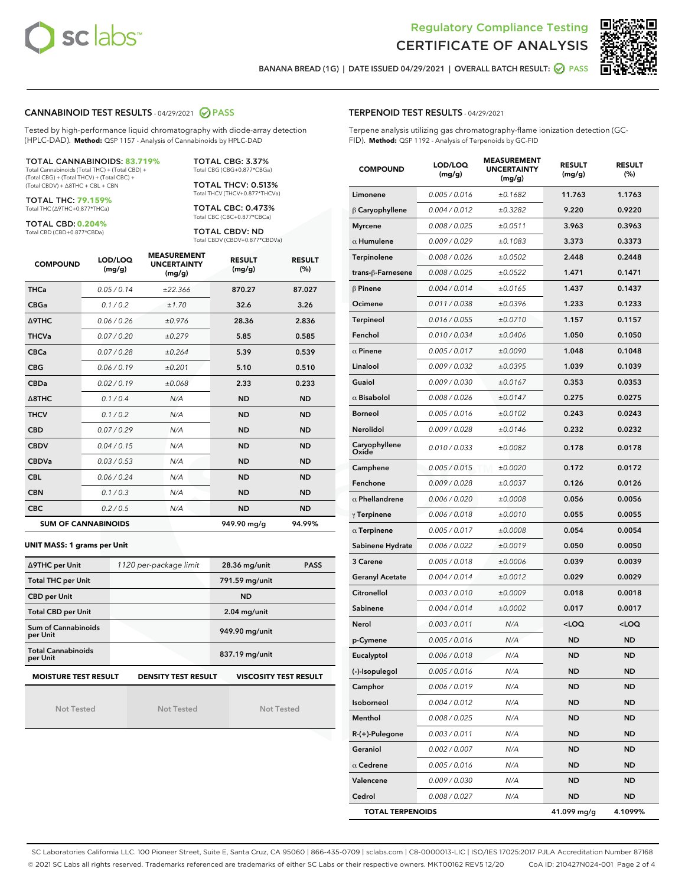



BANANA BREAD (1G) | DATE ISSUED 04/29/2021 | OVERALL BATCH RESULT: @ PASS

## CANNABINOID TEST RESULTS - 04/29/2021 2 PASS

Tested by high-performance liquid chromatography with diode-array detection (HPLC-DAD). **Method:** QSP 1157 - Analysis of Cannabinoids by HPLC-DAD

TOTAL CANNABINOIDS: **83.719%**

Total Cannabinoids (Total THC) + (Total CBD) + (Total CBG) + (Total THCV) + (Total CBC) + (Total CBDV) + ∆8THC + CBL + CBN

TOTAL THC: **79.159%** Total THC (∆9THC+0.877\*THCa)

TOTAL CBD: **0.204%**

Total CBD (CBD+0.877\*CBDa)

TOTAL CBG: 3.37% Total CBG (CBG+0.877\*CBGa)

TOTAL THCV: 0.513% Total THCV (THCV+0.877\*THCVa)

TOTAL CBC: 0.473% Total CBC (CBC+0.877\*CBCa)

TOTAL CBDV: ND Total CBDV (CBDV+0.877\*CBDVa)

| <b>COMPOUND</b> | LOD/LOQ<br>(mg/g)          | <b>MEASUREMENT</b><br><b>UNCERTAINTY</b><br>(mg/g) | <b>RESULT</b><br>(mg/g) | <b>RESULT</b><br>(%) |
|-----------------|----------------------------|----------------------------------------------------|-------------------------|----------------------|
| <b>THCa</b>     | 0.05/0.14                  | ±22.366                                            | 870.27                  | 87.027               |
| <b>CBGa</b>     | 0.1 / 0.2                  | ±1.70                                              | 32.6                    | 3.26                 |
| <b>A9THC</b>    | 0.06 / 0.26                | ±0.976                                             | 28.36                   | 2.836                |
| <b>THCVa</b>    | 0.07 / 0.20                | ±0.279                                             | 5.85                    | 0.585                |
| <b>CBCa</b>     | 0.07/0.28                  | ±0.264                                             | 5.39                    | 0.539                |
| <b>CBG</b>      | 0.06/0.19                  | ±0.201                                             | 5.10                    | 0.510                |
| <b>CBDa</b>     | 0.02/0.19                  | ±0.068                                             | 2.33                    | 0.233                |
| A8THC           | 0.1/0.4                    | N/A                                                | <b>ND</b>               | <b>ND</b>            |
| <b>THCV</b>     | 0.1/0.2                    | N/A                                                | <b>ND</b>               | <b>ND</b>            |
| <b>CBD</b>      | 0.07/0.29                  | N/A                                                | <b>ND</b>               | <b>ND</b>            |
| <b>CBDV</b>     | 0.04/0.15                  | N/A                                                | <b>ND</b>               | <b>ND</b>            |
| <b>CBDVa</b>    | 0.03/0.53                  | N/A                                                | <b>ND</b>               | <b>ND</b>            |
| <b>CBL</b>      | 0.06 / 0.24                | N/A                                                | <b>ND</b>               | <b>ND</b>            |
| <b>CBN</b>      | 0.1 / 0.3                  | N/A                                                | <b>ND</b>               | <b>ND</b>            |
| <b>CBC</b>      | 0.2 / 0.5                  | N/A                                                | <b>ND</b>               | <b>ND</b>            |
|                 | <b>SUM OF CANNABINOIDS</b> |                                                    | 949.90 mg/g             | 94.99%               |

#### **UNIT MASS: 1 grams per Unit**

| ∆9THC per Unit                         | 1120 per-package limit     | <b>PASS</b><br>28.36 mg/unit |  |
|----------------------------------------|----------------------------|------------------------------|--|
| <b>Total THC per Unit</b>              |                            | 791.59 mg/unit               |  |
| <b>CBD per Unit</b>                    |                            | <b>ND</b>                    |  |
| <b>Total CBD per Unit</b>              |                            | $2.04$ mg/unit               |  |
| <b>Sum of Cannabinoids</b><br>per Unit |                            | 949.90 mg/unit               |  |
| <b>Total Cannabinoids</b><br>per Unit  |                            | 837.19 mg/unit               |  |
| <b>MOISTURE TEST RESULT</b>            | <b>DENSITY TEST RESULT</b> | <b>VISCOSITY TEST RESULT</b> |  |

**MOISTURE TEST RESULT**

Not Tested

Not Tested

Not Tested

## TERPENOID TEST RESULTS - 04/29/2021

Terpene analysis utilizing gas chromatography-flame ionization detection (GC-FID). **Method:** QSP 1192 - Analysis of Terpenoids by GC-FID

| <b>COMPOUND</b>         | LOD/LOQ<br>(mg/g) | <b>MEASUREMENT</b><br><b>UNCERTAINTY</b><br>(mg/g) | <b>RESULT</b><br>(mg/g)                         | <b>RESULT</b><br>(%) |
|-------------------------|-------------------|----------------------------------------------------|-------------------------------------------------|----------------------|
| Limonene                | 0.005 / 0.016     | ±0.1682                                            | 11.763                                          | 1.1763               |
| $\beta$ Caryophyllene   | 0.004 / 0.012     | ±0.3282                                            | 9.220                                           | 0.9220               |
| <b>Myrcene</b>          | 0.008 / 0.025     | ±0.0511                                            | 3.963                                           | 0.3963               |
| $\alpha$ Humulene       | 0.009 / 0.029     | ±0.1083                                            | 3.373                                           | 0.3373               |
| Terpinolene             | 0.008 / 0.026     | ±0.0502                                            | 2.448                                           | 0.2448               |
| trans-ß-Farnesene       | 0.008 / 0.025     | ±0.0522                                            | 1.471                                           | 0.1471               |
| $\beta$ Pinene          | 0.004 / 0.014     | ±0.0165                                            | 1.437                                           | 0.1437               |
| Ocimene                 | 0.011 / 0.038     | ±0.0396                                            | 1.233                                           | 0.1233               |
| <b>Terpineol</b>        | 0.016 / 0.055     | ±0.0710                                            | 1.157                                           | 0.1157               |
| Fenchol                 | 0.010 / 0.034     | ±0.0406                                            | 1.050                                           | 0.1050               |
| $\alpha$ Pinene         | 0.005 / 0.017     | ±0.0090                                            | 1.048                                           | 0.1048               |
| Linalool                | 0.009 / 0.032     | ±0.0395                                            | 1.039                                           | 0.1039               |
| Guaiol                  | 0.009 / 0.030     | ±0.0167                                            | 0.353                                           | 0.0353               |
| $\alpha$ Bisabolol      | 0.008 / 0.026     | ±0.0147                                            | 0.275                                           | 0.0275               |
| <b>Borneol</b>          | 0.005 / 0.016     | ±0.0102                                            | 0.243                                           | 0.0243               |
| Nerolidol               | 0.009 / 0.028     | ±0.0146                                            | 0.232                                           | 0.0232               |
| Caryophyllene<br>Oxide  | 0.010 / 0.033     | ±0.0082                                            | 0.178                                           | 0.0178               |
| Camphene                | 0.005 / 0.015     | ±0.0020                                            | 0.172                                           | 0.0172               |
| Fenchone                | 0.009 / 0.028     | ±0.0037                                            | 0.126                                           | 0.0126               |
| $\alpha$ Phellandrene   | 0.006 / 0.020     | ±0.0008                                            | 0.056                                           | 0.0056               |
| $\gamma$ Terpinene      | 0.006 / 0.018     | ±0.0010                                            | 0.055                                           | 0.0055               |
| $\alpha$ Terpinene      | 0.005 / 0.017     | ±0.0008                                            | 0.054                                           | 0.0054               |
| Sabinene Hydrate        | 0.006 / 0.022     | ±0.0019                                            | 0.050                                           | 0.0050               |
| 3 Carene                | 0.005 / 0.018     | ±0.0006                                            | 0.039                                           | 0.0039               |
| <b>Geranyl Acetate</b>  | 0.004 / 0.014     | ±0.0012                                            | 0.029                                           | 0.0029               |
| Citronellol             | 0.003 / 0.010     | ±0.0009                                            | 0.018                                           | 0.0018               |
| Sabinene                | 0.004/0.014       | ±0.0002                                            | 0.017                                           | 0.0017               |
| Nerol                   | 0.003 / 0.011     | N/A                                                | <loq< th=""><th><loq< th=""></loq<></th></loq<> | <loq< th=""></loq<>  |
| p-Cymene                | 0.005 / 0.016     | N/A                                                | ND                                              | ND                   |
| Eucalyptol              | 0.006 / 0.018     | N/A                                                | <b>ND</b>                                       | <b>ND</b>            |
| (-)-Isopulegol          | 0.005 / 0.016     | N/A                                                | ND                                              | ND                   |
| Camphor                 | 0.006 / 0.019     | N/A                                                | ND                                              | ND                   |
| Isoborneol              | 0.004 / 0.012     | N/A                                                | ND                                              | <b>ND</b>            |
| Menthol                 | 0.008 / 0.025     | N/A                                                | ND                                              | ND                   |
| R-(+)-Pulegone          | 0.003 / 0.011     | N/A                                                | ND                                              | ND                   |
| Geraniol                | 0.002 / 0.007     | N/A                                                | ND                                              | ND                   |
| $\alpha$ Cedrene        | 0.005 / 0.016     | N/A                                                | <b>ND</b>                                       | <b>ND</b>            |
| Valencene               | 0.009 / 0.030     | N/A                                                | ND                                              | ND                   |
| Cedrol                  | 0.008 / 0.027     | N/A                                                | ND                                              | ND                   |
| <b>TOTAL TERPENOIDS</b> |                   |                                                    | 41.099 mg/g                                     | 4.1099%              |

SC Laboratories California LLC. 100 Pioneer Street, Suite E, Santa Cruz, CA 95060 | 866-435-0709 | sclabs.com | C8-0000013-LIC | ISO/IES 17025:2017 PJLA Accreditation Number 87168 © 2021 SC Labs all rights reserved. Trademarks referenced are trademarks of either SC Labs or their respective owners. MKT00162 REV5 12/20 CoA ID: 210427N024-001 Page 2 of 4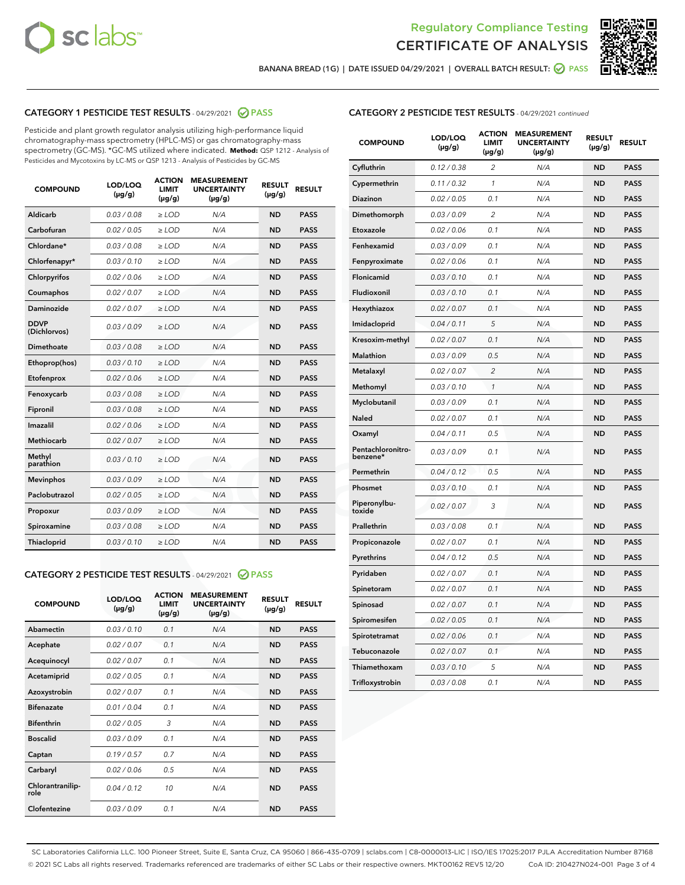



BANANA BREAD (1G) | DATE ISSUED 04/29/2021 | OVERALL BATCH RESULT:  $\bigcirc$  PASS

## CATEGORY 1 PESTICIDE TEST RESULTS - 04/29/2021 2 PASS

Pesticide and plant growth regulator analysis utilizing high-performance liquid chromatography-mass spectrometry (HPLC-MS) or gas chromatography-mass spectrometry (GC-MS). \*GC-MS utilized where indicated. **Method:** QSP 1212 - Analysis of Pesticides and Mycotoxins by LC-MS or QSP 1213 - Analysis of Pesticides by GC-MS

| <b>COMPOUND</b>             | LOD/LOQ<br>$(\mu g/g)$ | <b>ACTION</b><br><b>LIMIT</b><br>$(\mu g/g)$ | <b>MEASUREMENT</b><br><b>UNCERTAINTY</b><br>$(\mu g/g)$ | <b>RESULT</b><br>$(\mu g/g)$ | <b>RESULT</b> |
|-----------------------------|------------------------|----------------------------------------------|---------------------------------------------------------|------------------------------|---------------|
| Aldicarb                    | 0.03 / 0.08            | $\ge$ LOD                                    | N/A                                                     | <b>ND</b>                    | <b>PASS</b>   |
| Carbofuran                  | 0.02/0.05              | $\ge$ LOD                                    | N/A                                                     | <b>ND</b>                    | <b>PASS</b>   |
| Chlordane*                  | 0.03 / 0.08            | $>$ LOD                                      | N/A                                                     | <b>ND</b>                    | <b>PASS</b>   |
| Chlorfenapyr*               | 0.03/0.10              | $>$ LOD                                      | N/A                                                     | <b>ND</b>                    | <b>PASS</b>   |
| Chlorpyrifos                | 0.02 / 0.06            | $\ge$ LOD                                    | N/A                                                     | <b>ND</b>                    | <b>PASS</b>   |
| Coumaphos                   | 0.02 / 0.07            | $\ge$ LOD                                    | N/A                                                     | <b>ND</b>                    | <b>PASS</b>   |
| Daminozide                  | 0.02 / 0.07            | $\ge$ LOD                                    | N/A                                                     | <b>ND</b>                    | <b>PASS</b>   |
| <b>DDVP</b><br>(Dichlorvos) | 0.03/0.09              | $\ge$ LOD                                    | N/A                                                     | <b>ND</b>                    | <b>PASS</b>   |
| Dimethoate                  | 0.03 / 0.08            | $\ge$ LOD                                    | N/A                                                     | <b>ND</b>                    | <b>PASS</b>   |
| Ethoprop(hos)               | 0.03/0.10              | $>$ LOD                                      | N/A                                                     | <b>ND</b>                    | <b>PASS</b>   |
| Etofenprox                  | 0.02 / 0.06            | $\ge$ LOD                                    | N/A                                                     | <b>ND</b>                    | <b>PASS</b>   |
| Fenoxycarb                  | 0.03 / 0.08            | $\ge$ LOD                                    | N/A                                                     | <b>ND</b>                    | <b>PASS</b>   |
| Fipronil                    | 0.03 / 0.08            | $\ge$ LOD                                    | N/A                                                     | <b>ND</b>                    | <b>PASS</b>   |
| Imazalil                    | 0.02 / 0.06            | $>$ LOD                                      | N/A                                                     | <b>ND</b>                    | <b>PASS</b>   |
| Methiocarb                  | 0.02 / 0.07            | $\ge$ LOD                                    | N/A                                                     | <b>ND</b>                    | <b>PASS</b>   |
| Methyl<br>parathion         | 0.03/0.10              | $\ge$ LOD                                    | N/A                                                     | <b>ND</b>                    | <b>PASS</b>   |
| <b>Mevinphos</b>            | 0.03/0.09              | $\ge$ LOD                                    | N/A                                                     | <b>ND</b>                    | <b>PASS</b>   |
| Paclobutrazol               | 0.02 / 0.05            | $\ge$ LOD                                    | N/A                                                     | <b>ND</b>                    | <b>PASS</b>   |
| Propoxur                    | 0.03/0.09              | $\ge$ LOD                                    | N/A                                                     | <b>ND</b>                    | <b>PASS</b>   |
| Spiroxamine                 | 0.03 / 0.08            | $\ge$ LOD                                    | N/A                                                     | <b>ND</b>                    | <b>PASS</b>   |
| Thiacloprid                 | 0.03/0.10              | $\ge$ LOD                                    | N/A                                                     | <b>ND</b>                    | <b>PASS</b>   |

#### CATEGORY 2 PESTICIDE TEST RESULTS - 04/29/2021 @ PASS

| <b>COMPOUND</b>          | LOD/LOO<br>$(\mu g/g)$ | <b>ACTION</b><br>LIMIT<br>$(\mu g/g)$ | <b>MEASUREMENT</b><br><b>UNCERTAINTY</b><br>$(\mu g/g)$ | <b>RESULT</b><br>$(\mu g/g)$ | <b>RESULT</b> |  |
|--------------------------|------------------------|---------------------------------------|---------------------------------------------------------|------------------------------|---------------|--|
| Abamectin                | 0.03/0.10              | 0.1                                   | N/A                                                     | <b>ND</b>                    | <b>PASS</b>   |  |
| Acephate                 | 0.02/0.07              | 0.1                                   | N/A                                                     | <b>ND</b>                    | <b>PASS</b>   |  |
| Acequinocyl              | 0.02/0.07              | 0.1                                   | N/A                                                     | <b>ND</b>                    | <b>PASS</b>   |  |
| Acetamiprid              | 0.02 / 0.05            | 0.1                                   | N/A                                                     | <b>ND</b>                    | <b>PASS</b>   |  |
| Azoxystrobin             | 0.02/0.07              | 0.1                                   | N/A                                                     | <b>ND</b>                    | <b>PASS</b>   |  |
| <b>Bifenazate</b>        | 0.01 / 0.04            | 0.1                                   | N/A                                                     | <b>ND</b>                    | <b>PASS</b>   |  |
| <b>Bifenthrin</b>        | 0.02 / 0.05            | 3                                     | N/A                                                     | <b>ND</b>                    | <b>PASS</b>   |  |
| <b>Boscalid</b>          | 0.03/0.09              | 0.1                                   | N/A                                                     | <b>ND</b>                    | <b>PASS</b>   |  |
| Captan                   | 0.19/0.57              | 0.7                                   | N/A                                                     | <b>ND</b>                    | <b>PASS</b>   |  |
| Carbaryl                 | 0.02/0.06              | 0.5                                   | N/A                                                     | <b>ND</b>                    | <b>PASS</b>   |  |
| Chlorantranilip-<br>role | 0.04/0.12              | 10                                    | N/A                                                     | <b>ND</b>                    | <b>PASS</b>   |  |
| Clofentezine             | 0.03/0.09              | 0.1                                   | N/A                                                     | <b>ND</b>                    | <b>PASS</b>   |  |

|  | <b>CATEGORY 2 PESTICIDE TEST RESULTS</b> - 04/29/2021 continued |  |
|--|-----------------------------------------------------------------|--|
|--|-----------------------------------------------------------------|--|

| <b>COMPOUND</b>               | LOD/LOQ<br>$(\mu g/g)$ | <b>ACTION</b><br><b>LIMIT</b><br>$(\mu g/g)$ | <b>MEASUREMENT</b><br><b>UNCERTAINTY</b><br>$(\mu g/g)$ | <b>RESULT</b><br>(µg/g) | <b>RESULT</b> |
|-------------------------------|------------------------|----------------------------------------------|---------------------------------------------------------|-------------------------|---------------|
| Cyfluthrin                    | 0.12 / 0.38            | $\overline{2}$                               | N/A                                                     | <b>ND</b>               | <b>PASS</b>   |
| Cypermethrin                  | 0.11 / 0.32            | 1                                            | N/A                                                     | <b>ND</b>               | <b>PASS</b>   |
| <b>Diazinon</b>               | 0.02 / 0.05            | 0.1                                          | N/A                                                     | ND                      | <b>PASS</b>   |
| Dimethomorph                  | 0.03 / 0.09            | 2                                            | N/A                                                     | <b>ND</b>               | <b>PASS</b>   |
| Etoxazole                     | 0.02 / 0.06            | 0.1                                          | N/A                                                     | ND                      | <b>PASS</b>   |
| Fenhexamid                    | 0.03 / 0.09            | 0.1                                          | N/A                                                     | ND                      | <b>PASS</b>   |
| Fenpyroximate                 | 0.02 / 0.06            | 0.1                                          | N/A                                                     | <b>ND</b>               | <b>PASS</b>   |
| Flonicamid                    | 0.03 / 0.10            | 0.1                                          | N/A                                                     | ND                      | <b>PASS</b>   |
| Fludioxonil                   | 0.03 / 0.10            | 0.1                                          | N/A                                                     | ND                      | PASS          |
| Hexythiazox                   | 0.02 / 0.07            | 0.1                                          | N/A                                                     | <b>ND</b>               | <b>PASS</b>   |
| Imidacloprid                  | 0.04 / 0.11            | 5                                            | N/A                                                     | <b>ND</b>               | <b>PASS</b>   |
| Kresoxim-methyl               | 0.02 / 0.07            | 0.1                                          | N/A                                                     | ND                      | <b>PASS</b>   |
| Malathion                     | 0.03 / 0.09            | 0.5                                          | N/A                                                     | <b>ND</b>               | <b>PASS</b>   |
| Metalaxyl                     | 0.02 / 0.07            | $\overline{c}$                               | N/A                                                     | ND                      | <b>PASS</b>   |
| Methomyl                      | 0.03 / 0.10            | $\mathcal{I}$                                | N/A                                                     | ND                      | PASS          |
| Myclobutanil                  | 0.03 / 0.09            | 0.1                                          | N/A                                                     | <b>ND</b>               | <b>PASS</b>   |
| Naled                         | 0.02 / 0.07            | 0.1                                          | N/A                                                     | <b>ND</b>               | <b>PASS</b>   |
| Oxamyl                        | 0.04 / 0.11            | 0.5                                          | N/A                                                     | ND                      | <b>PASS</b>   |
| Pentachloronitro-<br>benzene* | 0.03 / 0.09            | 0.1                                          | N/A                                                     | ND                      | <b>PASS</b>   |
| Permethrin                    | 0.04 / 0.12            | 0.5                                          | N/A                                                     | <b>ND</b>               | <b>PASS</b>   |
| Phosmet                       | 0.03 / 0.10            | 0.1                                          | N/A                                                     | <b>ND</b>               | <b>PASS</b>   |
| Piperonylbu-<br>toxide        | 0.02 / 0.07            | 3                                            | N/A                                                     | <b>ND</b>               | <b>PASS</b>   |
| Prallethrin                   | 0.03 / 0.08            | 0.1                                          | N/A                                                     | <b>ND</b>               | <b>PASS</b>   |
| Propiconazole                 | 0.02 / 0.07            | 0.1                                          | N/A                                                     | <b>ND</b>               | <b>PASS</b>   |
| Pyrethrins                    | 0.04 / 0.12            | 0.5                                          | N/A                                                     | ND                      | <b>PASS</b>   |
| Pyridaben                     | 0.02 / 0.07            | 0.1                                          | N/A                                                     | <b>ND</b>               | <b>PASS</b>   |
| Spinetoram                    | 0.02 / 0.07            | 0.1                                          | N/A                                                     | ND                      | <b>PASS</b>   |
| Spinosad                      | 0.02 / 0.07            | 0.1                                          | N/A                                                     | ND                      | PASS          |
| Spiromesifen                  | 0.02 / 0.05            | 0.1                                          | N/A                                                     | <b>ND</b>               | <b>PASS</b>   |
| Spirotetramat                 | 0.02 / 0.06            | 0.1                                          | N/A                                                     | <b>ND</b>               | <b>PASS</b>   |
| Tebuconazole                  | 0.02 / 0.07            | 0.1                                          | N/A                                                     | ND                      | <b>PASS</b>   |
| Thiamethoxam                  | 0.03 / 0.10            | 5                                            | N/A                                                     | <b>ND</b>               | <b>PASS</b>   |
| Trifloxystrobin               | 0.03 / 0.08            | 0.1                                          | N/A                                                     | <b>ND</b>               | <b>PASS</b>   |

SC Laboratories California LLC. 100 Pioneer Street, Suite E, Santa Cruz, CA 95060 | 866-435-0709 | sclabs.com | C8-0000013-LIC | ISO/IES 17025:2017 PJLA Accreditation Number 87168 © 2021 SC Labs all rights reserved. Trademarks referenced are trademarks of either SC Labs or their respective owners. MKT00162 REV5 12/20 CoA ID: 210427N024-001 Page 3 of 4